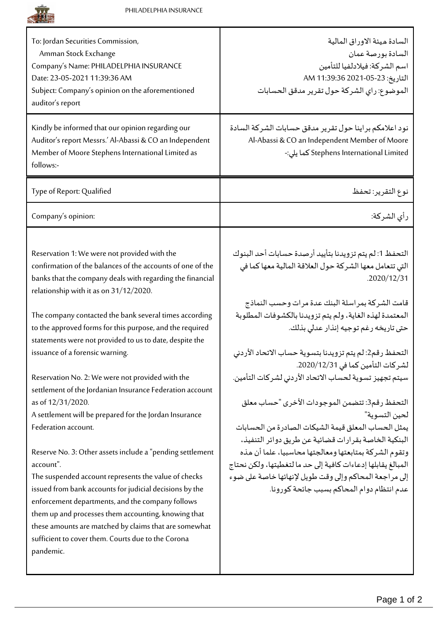

| السادة ميئة الاوراق المالية<br>السادة بورصة عمان<br>اسم الشركة: فيلادلفيا للتأمين<br>التاريخ: 23-05-2021 11:39:36 AM<br>الموضوع: راي الشركة حول تقرير مدقق الحسابات                                                                                                                                                                                  |
|------------------------------------------------------------------------------------------------------------------------------------------------------------------------------------------------------------------------------------------------------------------------------------------------------------------------------------------------------|
| نود اعلامكم براينا حول تقرير مدقق حسابات الشركة السادة<br>Al-Abassi & CO an Independent Member of Moore<br>Stephens International Limited كما يلي:-                                                                                                                                                                                                  |
| نوع التقرير: تحفظ                                                                                                                                                                                                                                                                                                                                    |
| رأى الشركة:                                                                                                                                                                                                                                                                                                                                          |
| التحفظ 1: لم يتم تزويدنا بتأييد أرصدة حسابات أحد البنوك<br>التي تتعامل معها الشركة حول العلاقة المالية معها كما في<br>.2020/12/31<br>قامت الشركة بمراسلة البنك عدة مرات وحسب النماذج<br>المعتمدة لهذه الغاية، ولم يتم تزويدنا بالكشوفات المطلوبة<br>حتى تاريخه رغم توجيه إنذار عدلى بذلك.<br>التحفظ رقم2: لم يتم تزويدنا بتسوية حساب الاتحاد الأردني |
| لشركات التأمين كما في 2020/12/31.<br>سيتم تجهيز تسوية لحساب الاتحاد الأردني لشركات التأمين.                                                                                                                                                                                                                                                          |
| التحفظ رقم3: تتضمن الموجودات الأخرى "حساب معلق<br>لحين التسوية"<br>يمثل الحساب المعلق قيمة الشيكات الصادر ة من الحسابات<br>البنكية الخاصة بقر ارات قضائية عن طريق دوائر التنفيذ،                                                                                                                                                                     |
| وتقوم الشركة بمتابعتها ومعالجتها محاسبيا، علما أن هذه<br>المبالغ يقابلها إدعاءات كافية إلى حد ما لتغطيتها، ولكن نحتاج<br>إلى مراجعة المحاكم وإلى وقت طويل لإنهائها خاصة على ضوء<br>عدم انتظام دوام المحاكم بسبب جائحة كورونا.                                                                                                                        |
|                                                                                                                                                                                                                                                                                                                                                      |